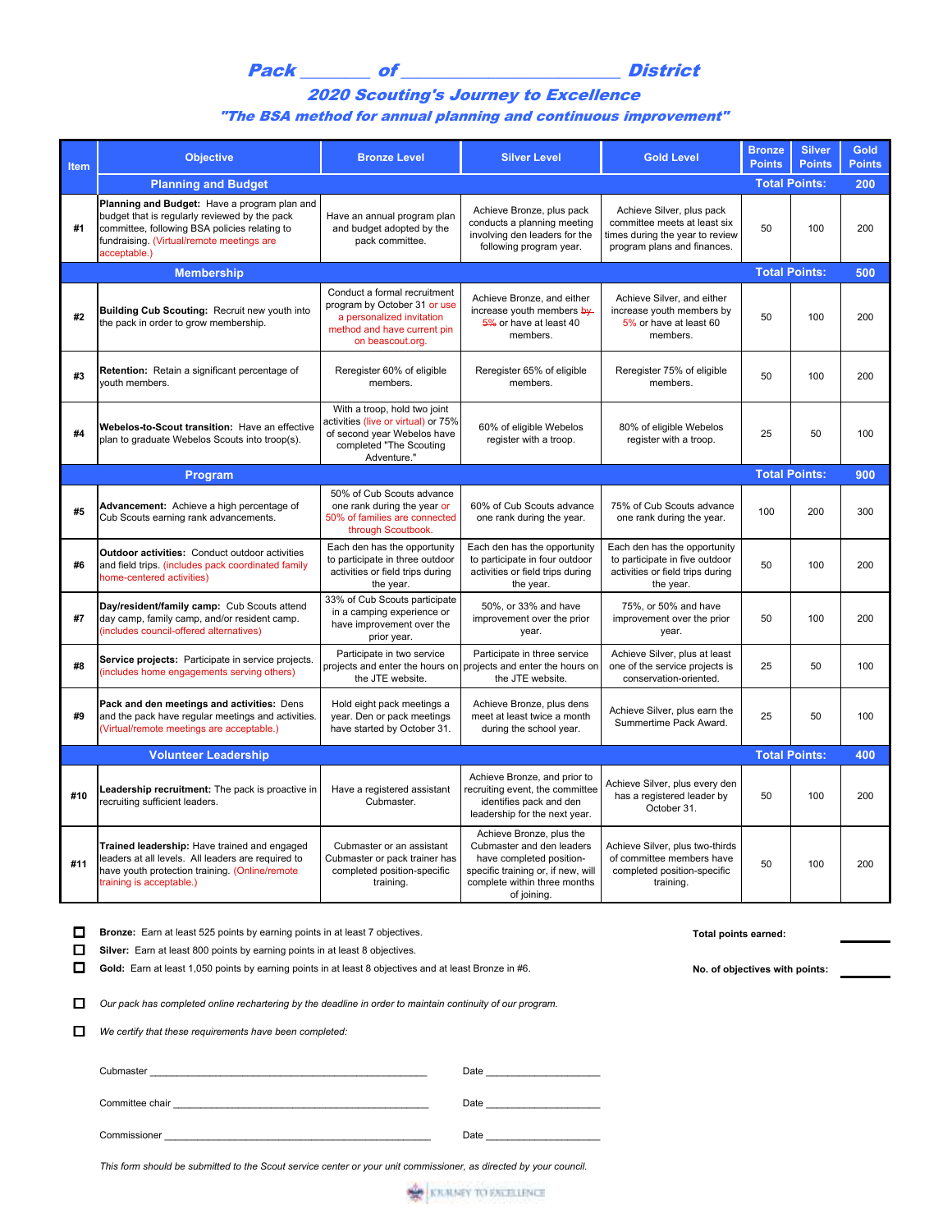Pack of District

## 2020 Scouting's Journey to Excellence

## "The BSA method for annual planning and continuous improvement"

| Item | <b>Objective</b>                                                                                                                                                                                            | <b>Bronze Level</b>                                                                                                                          | <b>Silver Level</b>                                                                                                                                                    | <b>Gold Level</b>                                                                                                           | <b>Bronze</b><br><b>Points</b> | <b>Silver</b><br><b>Points</b> | <b>Gold</b><br><b>Points</b> |
|------|-------------------------------------------------------------------------------------------------------------------------------------------------------------------------------------------------------------|----------------------------------------------------------------------------------------------------------------------------------------------|------------------------------------------------------------------------------------------------------------------------------------------------------------------------|-----------------------------------------------------------------------------------------------------------------------------|--------------------------------|--------------------------------|------------------------------|
|      | <b>Planning and Budget</b>                                                                                                                                                                                  |                                                                                                                                              |                                                                                                                                                                        |                                                                                                                             | <b>Total Points:</b>           |                                | 200                          |
| #1   | Planning and Budget: Have a program plan and<br>budget that is regularly reviewed by the pack<br>committee, following BSA policies relating to<br>fundraising. (Virtual/remote meetings are<br>acceptable.) | Have an annual program plan<br>and budget adopted by the<br>pack committee.                                                                  | Achieve Bronze, plus pack<br>conducts a planning meeting<br>involving den leaders for the<br>following program year.                                                   | Achieve Silver, plus pack<br>committee meets at least six<br>times during the year to review<br>program plans and finances. | 50                             | 100                            | 200                          |
|      | <b>Membership</b>                                                                                                                                                                                           |                                                                                                                                              |                                                                                                                                                                        |                                                                                                                             | <b>Total Points:</b>           |                                | 500                          |
| #2   | Building Cub Scouting: Recruit new youth into<br>the pack in order to grow membership.                                                                                                                      | Conduct a formal recruitment<br>program by October 31 or use<br>a personalized invitation<br>method and have current pin<br>on beascout.org. | Achieve Bronze, and either<br>increase youth members by-<br>5% or have at least 40<br>members.                                                                         | Achieve Silver, and either<br>increase youth members by<br>5% or have at least 60<br>members.                               | 50                             | 100                            | 200                          |
| #3   | Retention: Retain a significant percentage of<br>youth members.                                                                                                                                             | Reregister 60% of eligible<br>members.                                                                                                       | Reregister 65% of eligible<br>members.                                                                                                                                 | Reregister 75% of eligible<br>members.                                                                                      | 50                             | 100                            | 200                          |
| #4   | Webelos-to-Scout transition: Have an effective<br>plan to graduate Webelos Scouts into troop(s).                                                                                                            | With a troop, hold two joint<br>activities (live or virtual) or 75%<br>of second year Webelos have<br>completed "The Scouting<br>Adventure." | 60% of eligible Webelos<br>register with a troop.                                                                                                                      | 80% of eligible Webelos<br>register with a troop.                                                                           | 25                             | 50                             | 100                          |
|      | <b>Program</b>                                                                                                                                                                                              |                                                                                                                                              |                                                                                                                                                                        |                                                                                                                             | <b>Total Points:</b>           |                                | 900                          |
| #5   | Advancement: Achieve a high percentage of<br>Cub Scouts earning rank advancements.                                                                                                                          | 50% of Cub Scouts advance<br>one rank during the year or<br>50% of families are connected<br>through Scoutbook.                              | 60% of Cub Scouts advance<br>one rank during the year.                                                                                                                 | 75% of Cub Scouts advance<br>one rank during the year.                                                                      | 100                            | 200                            | 300                          |
| #6   | <b>Outdoor activities: Conduct outdoor activities</b><br>and field trips. (includes pack coordinated family<br>home-centered activities)                                                                    | Each den has the opportunity<br>to participate in three outdoor<br>activities or field trips during<br>the year.                             | Each den has the opportunity<br>to participate in four outdoor<br>activities or field trips during<br>the year.                                                        | Each den has the opportunity<br>to participate in five outdoor<br>activities or field trips during<br>the year.             | 50                             | 100                            | 200                          |
| #7   | Day/resident/family camp: Cub Scouts attend<br>day camp, family camp, and/or resident camp.<br>(includes council-offered alternatives)                                                                      | 33% of Cub Scouts participate<br>in a camping experience or<br>have improvement over the<br>prior year.                                      | 50%, or 33% and have<br>improvement over the prior<br>year.                                                                                                            | 75%, or 50% and have<br>improvement over the prior<br>year.                                                                 | 50                             | 100                            | 200                          |
| #8   | Service projects: Participate in service projects.<br>(includes home engagements serving others)                                                                                                            | Participate in two service<br>projects and enter the hours on<br>the JTE website.                                                            | Participate in three service<br>projects and enter the hours on<br>the JTE website.                                                                                    | Achieve Silver, plus at least<br>one of the service projects is<br>conservation-oriented.                                   | 25                             | 50                             | 100                          |
| #9   | Pack and den meetings and activities: Dens<br>and the pack have regular meetings and activities.<br>(Virtual/remote meetings are acceptable.)                                                               | Hold eight pack meetings a<br>year. Den or pack meetings<br>have started by October 31.                                                      | Achieve Bronze, plus dens<br>meet at least twice a month<br>during the school year.                                                                                    | Achieve Silver, plus earn the<br>Summertime Pack Award.                                                                     | 25                             | 50                             | 100                          |
|      | <b>Volunteer Leadership</b>                                                                                                                                                                                 |                                                                                                                                              |                                                                                                                                                                        |                                                                                                                             | <b>Total Points:</b>           |                                | 400                          |
| #10  | Leadership recruitment: The pack is proactive in<br>recruiting sufficient leaders.                                                                                                                          | Have a registered assistant<br>Cubmaster.                                                                                                    | Achieve Bronze, and prior to<br>recruiting event, the committee<br>identifies pack and den<br>leadership for the next year.                                            | Achieve Silver, plus every den<br>has a registered leader by<br>October 31.                                                 | 50                             | 100                            | 200                          |
| #11  | Trained leadership: Have trained and engaged<br>leaders at all levels. All leaders are required to<br>have youth protection training. (Online/remote<br>training is acceptable.)                            | Cubmaster or an assistant<br>Cubmaster or pack trainer has<br>completed position-specific<br>training.                                       | Achieve Bronze, plus the<br>Cubmaster and den leaders<br>have completed position-<br>specific training or, if new, will<br>complete within three months<br>of joining. | Achieve Silver, plus two-thirds<br>of committee members have<br>completed position-specific<br>training.                    | 50                             | 100                            | 200                          |

**D** Bronze: Earn at least 525 points by earning points in at least 7 objectives.<br> **D** Bronze: Earn at least 525 points by earning points in at least 7 objectives.

**Silver:** Earn at least 800 points by earning points in at least 8 objectives.

Gold: Earn at least 1,050 points by earning points in at least 8 objectives and at least Bronze in #6. No. of objectives with points:

**D** Our pack has completed online rechartering by the deadline in order to maintain continuity of our program.

 $\Box$  We certify that these requirements have been completed:

| Cubmaster       | Date |
|-----------------|------|
| Committee chair | Date |
| Commissioner    | Date |

*This form should be submitted to the Scout service center or your unit commissioner, as directed by your council.*